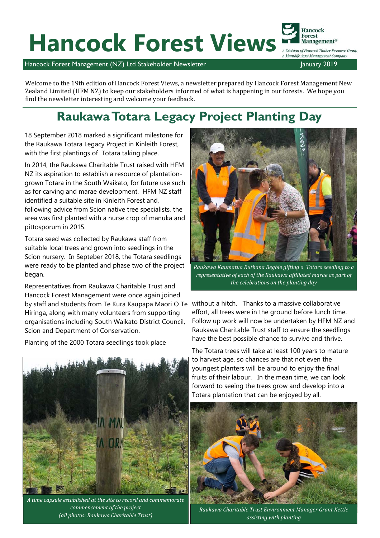# Hancock Forest Views **Management®**

Hancock Forest Management®

Hancock Forest Management (NZ) Ltd Stakeholder Newsletter January 2019

Welcome to the 19th edition of Hancock Forest Views, a newsletter prepared by Hancock Forest Management New Zealand Limited (HFM NZ) to keep our stakeholders informed of what is happening in our forests. We hope you find the newsletter interesting and welcome your feedback.

#### **Raukawa Totara Legacy Project Planting Day**

18 September 2018 marked a significant milestone for the Raukawa Totara Legacy Project in Kinleith Forest, with the first plantings of Totara taking place.

In 2014, the Raukawa Charitable Trust raised with HFM NZ its aspiration to establish a resource of plantationgrown Totara in the South Waikato, for future use such as for carving and marae development. HFM NZ staff identified a suitable site in Kinleith Forest and, following advice from Scion native tree specialists, the area was first planted with a nurse crop of manuka and pittosporum in 2015.

Totara seed was collected by Raukawa staff from suitable local trees and grown into seedlings in the Scion nursery. In Septeber 2018, the Totara seedlings were ready to be planted and phase two of the project began.

Representatives from Raukawa Charitable Trust and Hancock Forest Management were once again joined by staff and students from Te Kura Kaupapa Maori O Te without a hitch. Thanks to a massive collaborative Hiringa, along with many volunteers from supporting organisations including South Waikato District Council, Scion and Department of Conservation.

Planting of the 2000 Totara seedlings took place



*A time capsule established at the site to record and commemorate commencement of the project (all photos: Raukawa Charitable Trust)*



*Raukawa Kaumatua Ruthana Begbie gifting a Totara seedling to a representative of each of the Raukawa affiliated marae as part of the celebrations on the planting day*

effort, all trees were in the ground before lunch time. Follow up work will now be undertaken by HFM NZ and Raukawa Charitable Trust staff to ensure the seedlings have the best possible chance to survive and thrive.

The Totara trees will take at least 100 years to mature to harvest age, so chances are that not even the youngest planters will be around to enjoy the final fruits of their labour. In the mean time, we can look forward to seeing the trees grow and develop into a Totara plantation that can be enjoyed by all.



*Raukawa Charitable Trust Environment Manager Grant Kettle assisting with planting*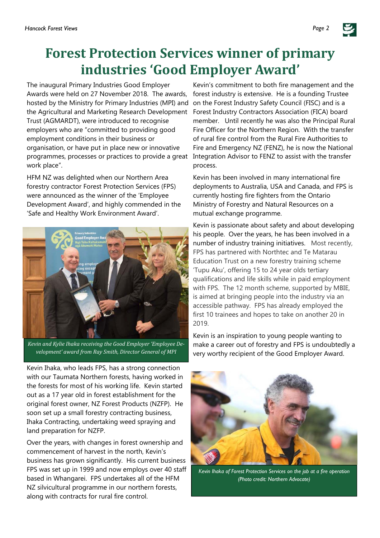### **Forest Protection Services winner of primary industries 'Good Employer Award'**

The inaugural Primary Industries Good Employer Awards were held on 27 November 2018. The awards, hosted by the Ministry for Primary Industries (MPI) and on the Forest Industry Safety Council (FISC) and is a the Agricultural and Marketing Research Development Trust (AGMARDT), were introduced to recognise employers who are "committed to providing good employment conditions in their business or organisation, or have put in place new or innovative programmes, processes or practices to provide a great work place".

HFM NZ was delighted when our Northern Area forestry contractor Forest Protection Services (FPS) were announced as the winner of the 'Employee Development Award', and highly commended in the 'Safe and Healthy Work Environment Award'.



*Kevin and Kylie Ihaka receiving the Good Employer 'Employee Development' award from Ray Smith, Director General of MPI*

Kevin Ihaka, who leads FPS, has a strong connection with our Taumata Northern forests, having worked in the forests for most of his working life. Kevin started out as a 17 year old in forest establishment for the original forest owner, NZ Forest Products (NZFP). He soon set up a small forestry contracting business, Ihaka Contracting, undertaking weed spraying and land preparation for NZFP.

Over the years, with changes in forest ownership and commencement of harvest in the north, Kevin's business has grown significantly. His current business FPS was set up in 1999 and now employs over 40 staff based in Whangarei. FPS undertakes all of the HFM NZ silvicultural programme in our northern forests, along with contracts for rural fire control.

Kevin's commitment to both fire management and the forest industry is extensive. He is a founding Trustee Forest Industry Contractors Association (FICA) board member. Until recently he was also the Principal Rural Fire Officer for the Northern Region. With the transfer of rural fire control from the Rural Fire Authorities to Fire and Emergency NZ (FENZ), he is now the National Integration Advisor to FENZ to assist with the transfer process.

Kevin has been involved in many international fire deployments to Australia, USA and Canada, and FPS is currently hosting fire fighters from the Ontario Ministry of Forestry and Natural Resources on a mutual exchange programme.

Kevin is passionate about safety and about developing his people. Over the years, he has been involved in a number of industry training initiatives. Most recently, FPS has partnered with Northtec and Te Matarau Education Trust on a new forestry training scheme 'Tupu Aku', offering 15 to 24 year olds tertiary qualifications and life skills while in paid employment with FPS. The 12 month scheme, supported by MBIE, is aimed at bringing people into the industry via an accessible pathway. FPS has already employed the first 10 trainees and hopes to take on another 20 in 2019.

Kevin is an inspiration to young people wanting to make a career out of forestry and FPS is undoubtedly a very worthy recipient of the Good Employer Award.



*Kevin Ihaka of Forest Protection Services on the job at a fire operation (Photo credit: Northern Advocate)*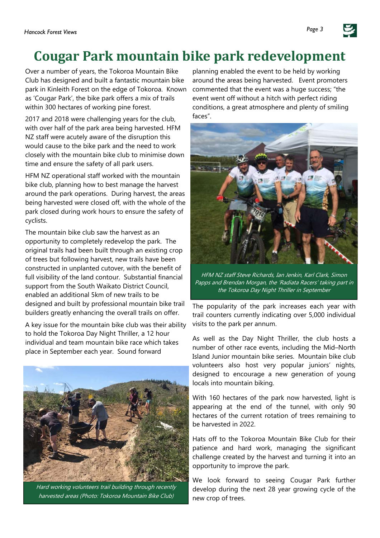#### **Cougar Park mountain bike park redevelopment**

Over a number of years, the Tokoroa Mountain Bike Club has designed and built a fantastic mountain bike park in Kinleith Forest on the edge of Tokoroa. Known as 'Cougar Park', the bike park offers a mix of trails within 300 hectares of working pine forest.

2017 and 2018 were challenging years for the club, with over half of the park area being harvested. HFM NZ staff were acutely aware of the disruption this would cause to the bike park and the need to work closely with the mountain bike club to minimise down time and ensure the safety of all park users.

HFM NZ operational staff worked with the mountain bike club, planning how to best manage the harvest around the park operations. During harvest, the areas being harvested were closed off, with the whole of the park closed during work hours to ensure the safety of cyclists.

The mountain bike club saw the harvest as an opportunity to completely redevelop the park. The original trails had been built through an existing crop of trees but following harvest, new trails have been constructed in unplanted cutover, with the benefit of full visibility of the land contour. Substantial financial support from the South Waikato District Council, enabled an additional 5km of new trails to be designed and built by professional mountain bike trail builders greatly enhancing the overall trails on offer.

A key issue for the mountain bike club was their ability to hold the Tokoroa Day Night Thriller, a 12 hour individual and team mountain bike race which takes place in September each year. Sound forward



Hard working volunteers trail building through recently harvested areas (Photo: Tokoroa Mountain Bike Club)

planning enabled the event to be held by working around the areas being harvested. Event promoters commented that the event was a huge success; "the event went off without a hitch with perfect riding conditions, a great atmosphere and plenty of smiling faces".



HFM NZ staff Steve Richards, Ian Jenkin, Karl Clark, Simon Papps and Brendan Morgan, the 'Radiata Racers' taking part in the Tokoroa Day Night Thriller in September

The popularity of the park increases each year with trail counters currently indicating over 5,000 individual visits to the park per annum.

As well as the Day Night Thriller, the club hosts a number of other race events, including the Mid–North Island Junior mountain bike series. Mountain bike club volunteers also host very popular juniors' nights, designed to encourage a new generation of young locals into mountain biking.

With 160 hectares of the park now harvested, light is appearing at the end of the tunnel, with only 90 hectares of the current rotation of trees remaining to be harvested in 2022.

Hats off to the Tokoroa Mountain Bike Club for their patience and hard work, managing the significant challenge created by the harvest and turning it into an opportunity to improve the park.

We look forward to seeing Cougar Park further develop during the next 28 year growing cycle of the new crop of trees.